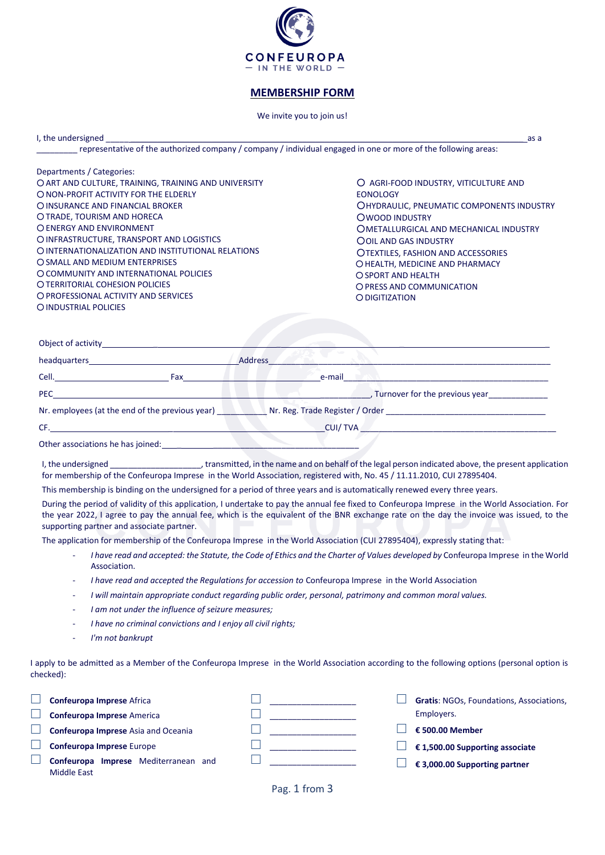

# **MEMBERSHIP FORM**

## We invite you to join us!

I, the undersigned and the undersigned as a set of the undersident and the undersident and the undersident as a

\_\_\_\_\_\_\_\_\_ representative of the authorized company / company / individual engaged in one or more of the following areas:

| Departments / Categories:                            |                                                  |
|------------------------------------------------------|--------------------------------------------------|
| O ART AND CULTURE, TRAINING, TRAINING AND UNIVERSITY | O AGRI-FOOD INDUSTRY, VITICULTURE AND            |
| O NON-PROFIT ACTIVITY FOR THE ELDERLY                | <b>EONOLOGY</b>                                  |
| O INSURANCE AND FINANCIAL BROKER                     | <b>OHYDRAULIC, PNEUMATIC COMPONENTS INDUSTRY</b> |
| O TRADE. TOURISM AND HORECA                          | <b>OWOOD INDUSTRY</b>                            |
| O ENERGY AND ENVIRONMENT                             | OMETALLURGICAL AND MECHANICAL INDUSTRY           |
| O INFRASTRUCTURE, TRANSPORT AND LOGISTICS            | <b>OOIL AND GAS INDUSTRY</b>                     |
| O INTERNATIONALIZATION AND INSTITUTIONAL RELATIONS   | <b>OTEXTILES, FASHION AND ACCESSORIES</b>        |
| O SMALL AND MEDIUM ENTERPRISES                       | O HEALTH. MEDICINE AND PHARMACY                  |
| O COMMUNITY AND INTERNATIONAL POLICIES               | O SPORT AND HEALTH                               |
| O TERRITORIAL COHESION POLICIES                      | O PRESS AND COMMUNICATION                        |
| O PROFESSIONAL ACTIVITY AND SERVICES                 | O DIGITIZATION                                   |
| O INDUSTRIAL POLICIES                                |                                                  |
|                                                      |                                                  |

| headquarters_                                   |     | <b>Address</b>                                                                                                                                                                                                                 |
|-------------------------------------------------|-----|--------------------------------------------------------------------------------------------------------------------------------------------------------------------------------------------------------------------------------|
| Cell.                                           | Fax | e-mail                                                                                                                                                                                                                         |
| <b>PEC</b>                                      |     | Turnover for the previous year                                                                                                                                                                                                 |
| Nr. employees (at the end of the previous year) |     | Nr. Reg. Trade Register / Order North Communications and the United States of the United States and North Communications and the United States of the United States and American States and States and American States and Ame |
| CF.                                             |     | CUI/TVA                                                                                                                                                                                                                        |
| Other associations he has joined:               |     |                                                                                                                                                                                                                                |

I, the undersigned The undersigned the name and on behalf of the legal person indicated above, the present application for membership of the Confeuropa Imprese in the World Association, registered with, No. 45 / 11.11.2010, CUI 27895404.

This membership is binding on the undersigned for a period of three years and is automatically renewed every three years.

During the period of validity of this application, I undertake to pay the annual fee fixed to Confeuropa Imprese in the World Association. For the year 2022, I agree to pay the annual fee, which is the equivalent of the BNR exchange rate on the day the invoice was issued, to the supporting partner and associate partner.

The application for membership of the Confeuropa Imprese in the World Association (CUI 27895404), expressly stating that:

- *I have read and accepted: the Statute, the Code of Ethics and the Charter of Values developed by* Confeuropa Imprese in the World Association.
- *I have read and accepted the Regulations for accession to* Confeuropa Imprese in the World Association
- *I will maintain appropriate conduct regarding public order, personal, patrimony and common moral values.*
- *I am not under the influence of seizure measures;*
- *I have no criminal convictions and I enjoy all civil rights;*
- *I'm not bankrupt*

I apply to be admitted as a Member of the Confeuropa Imprese in the World Association according to the following options (personal option is checked):

| Confeuropa Imprese Africa                                  |  | Gratis: NGOs, Foundations, Associations, |
|------------------------------------------------------------|--|------------------------------------------|
| <b>Confeuropa Imprese America</b>                          |  | Employers.                               |
| <b>Confeuropa Imprese Asia and Oceania</b>                 |  | € 500.00 Member                          |
| Confeuropa Imprese Europe                                  |  | € 1,500.00 Supporting associate          |
| Confeuropa Imprese Mediterranean and<br><b>Middle East</b> |  | € 3,000.00 Supporting partner            |

Pag. 1 from 3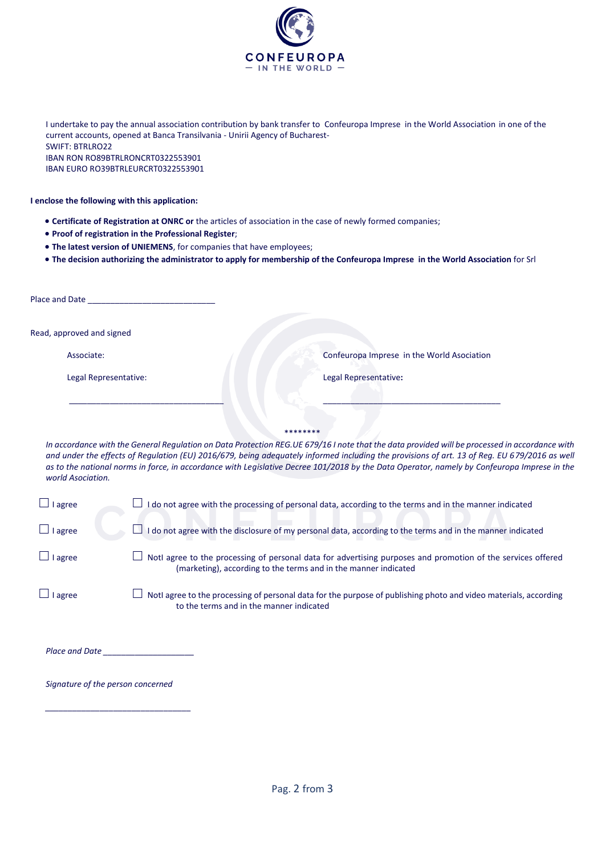

I undertake to pay the annual association contribution by bank transfer to Confeuropa Imprese in the World Association in one of the current accounts, opened at Banca Transilvania - Unirii Agency of Bucharest-SWIFT: BTRLRO22 IBAN RON RO89BTRLRONCRT0322553901 IBAN EURO RO39BTRLEURCRT0322553901

## **I enclose the following with this application:**

- **Certificate of Registration at ONRC or** the articles of association in the case of newly formed companies;
- **Proof of registration in the Professional Register**;
- **The latest version of UNIEMENS**, for companies that have employees;
- **The decision authorizing the administrator to apply for membership of the Confeuropa Imprese in the World Association** for Srl

| Place and Date            |                                            |
|---------------------------|--------------------------------------------|
| Read, approved and signed |                                            |
| Associate:                | Confeuropa Imprese in the World Asociation |
| Legal Representative:     | Legal Representative:                      |
|                           |                                            |
|                           | ********                                   |

*In accordance with the General Regulation on Data Protection REG.UE 679/16 I note that the data provided will be processed in accordance with and under the effects of Regulation (EU) 2016/679, being adequately informed including the provisions of art. 13 of Reg. EU 679/2016 as well as to the national norms in force, in accordance with Legislative Decree 101/2018 by the Data Operator, namely by Confeuropa Imprese in the world Asociation.*

| $\Box$ I agree | I do not agree with the processing of personal data, according to the terms and in the manner indicated                                                                         |
|----------------|---------------------------------------------------------------------------------------------------------------------------------------------------------------------------------|
| $\Box$ I agree | I do not agree with the disclosure of my personal data, according to the terms and in the manner indicated                                                                      |
| $\Box$ I agree | Notl agree to the processing of personal data for advertising purposes and promotion of the services offered<br>(marketing), according to the terms and in the manner indicated |
| $\Box$ I agree | Notl agree to the processing of personal data for the purpose of publishing photo and video materials, according<br>to the terms and in the manner indicated                    |

| <b>Place and Date</b> |  |
|-----------------------|--|
|                       |  |

*Signature of the person concerned*

*\_\_\_\_\_\_\_\_\_\_\_\_\_\_\_\_\_\_\_\_\_\_\_\_\_\_\_\_\_\_\_\_*